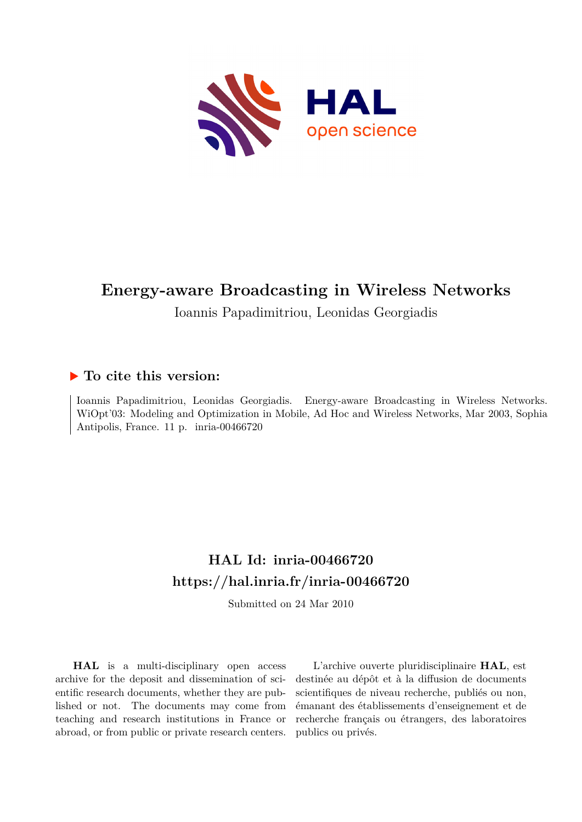

# **Energy-aware Broadcasting in Wireless Networks**

Ioannis Papadimitriou, Leonidas Georgiadis

## **To cite this version:**

Ioannis Papadimitriou, Leonidas Georgiadis. Energy-aware Broadcasting in Wireless Networks. WiOpt'03: Modeling and Optimization in Mobile, Ad Hoc and Wireless Networks, Mar 2003, Sophia Antipolis, France. 11 p. inria-00466720

# **HAL Id: inria-00466720 <https://hal.inria.fr/inria-00466720>**

Submitted on 24 Mar 2010

**HAL** is a multi-disciplinary open access archive for the deposit and dissemination of scientific research documents, whether they are published or not. The documents may come from teaching and research institutions in France or abroad, or from public or private research centers.

L'archive ouverte pluridisciplinaire **HAL**, est destinée au dépôt et à la diffusion de documents scientifiques de niveau recherche, publiés ou non, émanant des établissements d'enseignement et de recherche français ou étrangers, des laboratoires publics ou privés.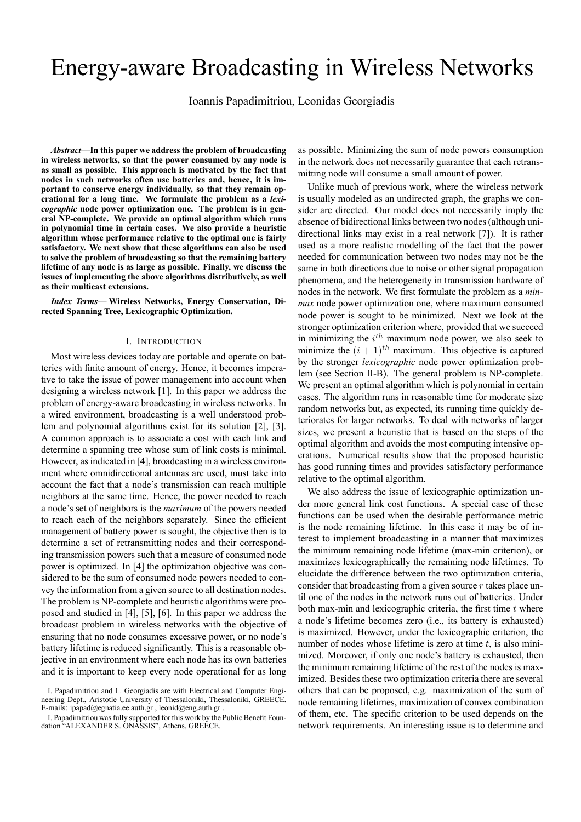# Energy-aware Broadcasting in Wireless Networks

Ioannis Papadimitriou, Leonidas Georgiadis

*Abstract***—In this paper we address the problem of broadcasting in wireless networks, so that the power consumed by any node is as small as possible. This approach is motivated by the fact that nodes in such networks often use batteries and, hence, it is important to conserve energy individually, so that they remain operational for a long time. We formulate the problem as a** *lexicographic* **node power optimization one. The problem is in general NP-complete. We provide an optimal algorithm which runs in polynomial time in certain cases. We also provide a heuristic algorithm whose performance relative to the optimal one is fairly satisfactory. We next show that these algorithms can also be used to solve the problem of broadcasting so that the remaining battery lifetime of any node is as large as possible. Finally, we discuss the issues of implementing the above algorithms distributively, as well as their multicast extensions.**

*Index Terms***— Wireless Networks, Energy Conservation, Directed Spanning Tree, Lexicographic Optimization.**

#### I. INTRODUCTION

Most wireless devices today are portable and operate on batteries with finite amount of energy. Hence, it becomes imperative to take the issue of power management into account when designing a wireless network [1]. In this paper we address the problem of energy-aware broadcasting in wireless networks. In a wired environment, broadcasting is a well understood problem and polynomial algorithms exist for its solution [2], [3]. A common approach is to associate a cost with each link and determine a spanning tree whose sum of link costs is minimal. However, as indicated in [4], broadcasting in a wireless environment where omnidirectional antennas are used, must take into account the fact that a node's transmission can reach multiple neighbors at the same time. Hence, the power needed to reach a node's set of neighbors is the *maximum* of the powers needed to reach each of the neighbors separately. Since the efficient management of battery power is sought, the objective then is to determine a set of retransmitting nodes and their corresponding transmission powers such that a measure of consumed node power is optimized. In [4] the optimization objective was considered to be the sum of consumed node powers needed to convey the information from a given source to all destination nodes. The problem is NP-complete and heuristic algorithms were proposed and studied in [4], [5], [6]. In this paper we address the broadcast problem in wireless networks with the objective of ensuring that no node consumes excessive power, or no node's battery lifetime is reduced significantly. This is a reasonable objective in an environment where each node has its own batteries and it is important to keep every node operational for as long

as possible. Minimizing the sum of node powers consumption in the network does not necessarily guarantee that each retransmitting node will consume a small amount of power.

Unlike much of previous work, where the wireless network is usually modeled as an undirected graph, the graphs we consider are directed. Our model does not necessarily imply the absence of bidirectional links between two nodes (although unidirectional links may exist in a real network [7]). It is rather used as a more realistic modelling of the fact that the power needed for communication between two nodes may not be the same in both directions due to noise or other signal propagation phenomena, and the heterogeneity in transmission hardware of nodes in the network. We first formulate the problem as a *minmax* node power optimization one, where maximum consumed node power is sought to be minimized. Next we look at the stronger optimization criterion where, provided that we succeed in minimizing the  $i^{th}$  maximum node power, we also seek to minimize the  $(i + 1)^{th}$  maximum. This objective is captured by the stronger *lexicographic* node power optimization problem (see Section II-B). The general problem is NP-complete. We present an optimal algorithm which is polynomial in certain cases. The algorithm runs in reasonable time for moderate size random networks but, as expected, its running time quickly deteriorates for larger networks. To deal with networks of larger sizes, we present a heuristic that is based on the steps of the optimal algorithm and avoids the most computing intensive operations. Numerical results show that the proposed heuristic has good running times and provides satisfactory performance relative to the optimal algorithm.

We also address the issue of lexicographic optimization under more general link cost functions. A special case of these functions can be used when the desirable performance metric is the node remaining lifetime. In this case it may be of interest to implement broadcasting in a manner that maximizes the minimum remaining node lifetime (max-min criterion), or maximizes lexicographically the remaining node lifetimes. To elucidate the difference between the two optimization criteria, consider that broadcasting from a given source  $r$  takes place until one of the nodes in the network runs out of batteries. Under both max-min and lexicographic criteria, the first time  $t$  where a node's lifetime becomes zero (i.e., its battery is exhausted) is maximized. However, under the lexicographic criterion, the number of nodes whose lifetime is zero at time  $t$ , is also minimized. Moreover, if only one node's battery is exhausted, then the minimum remaining lifetime of the rest of the nodes is maximized. Besides these two optimization criteria there are several others that can be proposed, e.g. maximization of the sum of node remaining lifetimes, maximization of convex combination of them, etc. The specific criterion to be used depends on the network requirements. An interesting issue is to determine and

I. Papadimitriou and L. Georgiadis are with Electrical and Computer Engineering Dept., Aristotle University of Thessaloniki, Thessaloniki, GREECE. E-mails: ipapad@egnatia.ee.auth.gr , leonid@eng.auth.gr .

I. Papadimitriou was fully supported for this work by the Public Benefit Foundation "ALEXANDER S. ONASSIS", Athens, GREECE.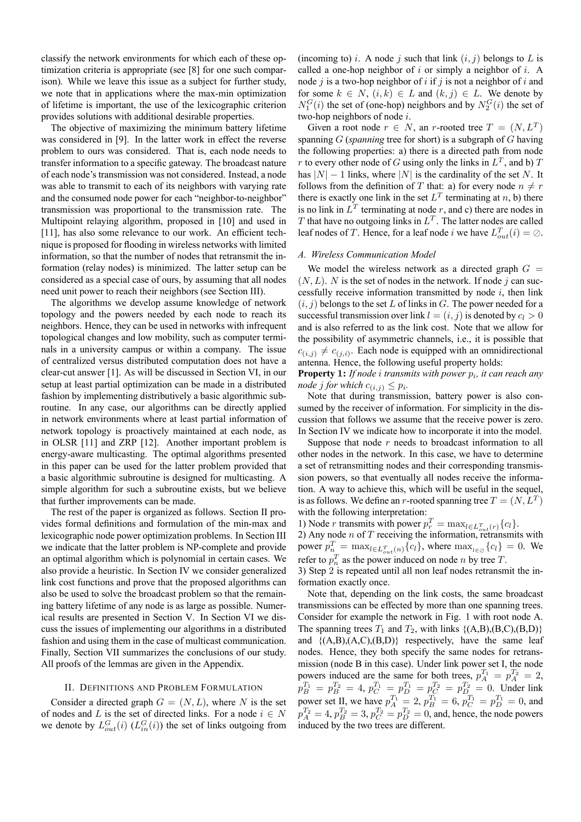classify the network environments for which each of these optimization criteria is appropriate (see [8] for one such comparison). While we leave this issue as a subject for further study, we note that in applications where the max-min optimization of lifetime is important, the use of the lexicographic criterion provides solutions with additional desirable properties.

The objective of maximizing the minimum battery lifetime was considered in [9]. In the latter work in effect the reverse problem to ours was considered. That is, each node needs to transfer information to a specific gateway. The broadcast nature of each node's transmission was not considered. Instead, a node was able to transmit to each of its neighbors with varying rate and the consumed node power for each "neighbor-to-neighbor" transmission was proportional to the transmission rate. The Multipoint relaying algorithm, proposed in [10] and used in [11], has also some relevance to our work. An efficient technique is proposed for flooding in wireless networks with limited information, so that the number of nodes that retransmit the information (relay nodes) is minimized. The latter setup can be considered as a special case of ours, by assuming that all nodes need unit power to reach their neighbors (see Section III).

The algorithms we develop assume knowledge of network topology and the powers needed by each node to reach its neighbors. Hence, they can be used in networks with infrequent topological changes and low mobility, such as computer terminals in a university campus or within a company. The issue of centralized versus distributed computation does not have a clear-cut answer [1]. As will be discussed in Section VI, in our setup at least partial optimization can be made in a distributed fashion by implementing distributively a basic algorithmic subroutine. In any case, our algorithms can be directly applied in network environments where at least partial information of network topology is proactively maintained at each node, as in OLSR [11] and ZRP [12]. Another important problem is energy-aware multicasting. The optimal algorithms presented in this paper can be used for the latter problem provided that a basic algorithmic subroutine is designed for multicasting. A simple algorithm for such a subroutine exists, but we believe that further improvements can be made.

The rest of the paper is organized as follows. Section II provides formal definitions and formulation of the min-max and lexicographic node power optimization problems. In Section III we indicate that the latter problem is NP-complete and provide an optimal algorithm which is polynomial in certain cases. We also provide a heuristic. In Section IV we consider generalized link cost functions and prove that the proposed algorithms can also be used to solve the broadcast problem so that the remaining battery lifetime of any node is as large as possible. Numerical results are presented in Section V. In Section VI we discuss the issues of implementing our algorithms in a distributed fashion and using them in the case of multicast communication. Finally, Section VII summarizes the conclusions of our study. All proofs of the lemmas are given in the Appendix.

## II. DEFINITIONS AND PROBLEM FORMULATION

Consider a directed graph  $G = (N, L)$ , where N is the set of nodes and L is the set of directed links. For a node  $i \in N$ we denote by  $L_{out}^G(i)$  ( $L_{in}^G(i)$ ) the set of links outgoing from

(incoming to) i. A node j such that link  $(i, j)$  belongs to L is called a one-hop neighbor of  $i$  or simply a neighbor of  $i$ . A node j is a two-hop neighbor of i if j is not a neighbor of i and for some  $k \in N$ ,  $(i, k) \in L$  and  $(k, j) \in L$ . We denote by  $N_1^G(i)$  the set of (one-hop) neighbors and by  $N_2^G(i)$  the set of two-hop neighbors of node i.

Given a root node  $r \in N$ , an r-rooted tree  $T = (N, L^T)$ spanning G (*spanning* tree for short) is a subgraph of G having the following properties: a) there is a directed path from node r to every other node of G using only the links in  $L^T$ , and b) T has  $|N| - 1$  links, where  $|N|$  is the cardinality of the set N. It follows from the definition of T that: a) for every node  $n \neq r$ there is exactly one link in the set  $L^T$  terminating at n, b) there is no link in  $L^T$  terminating at node r, and c) there are nodes in T that have no outgoing links in  $L^T$ . The latter nodes are called leaf nodes of T. Hence, for a leaf node *i* we have  $L_{out}^T(i) = \emptyset$ .

## *A. Wireless Communication Model*

We model the wireless network as a directed graph  $G =$  $(N, L)$ . N is the set of nodes in the network. If node j can successfully receive information transmitted by node  $i$ , then link  $(i, j)$  belongs to the set L of links in G. The power needed for a successful transmission over link  $l = (i, j)$  is denoted by  $c_l > 0$ and is also referred to as the link cost. Note that we allow for the possibility of asymmetric channels, i.e., it is possible that  $c_{(i,j)} \neq c_{(j,i)}$ . Each node is equipped with an omnidirectional antenna. Hence, the following useful property holds:

**Property 1:** *If node i transmits with power*  $p_i$ *, it can reach any node j for which*  $c_{(i,j)} \leq p_i$ *.* 

Note that during transmission, battery power is also consumed by the receiver of information. For simplicity in the discussion that follows we assume that the receive power is zero. In Section IV we indicate how to incorporate it into the model.

Suppose that node  $r$  needs to broadcast information to all other nodes in the network. In this case, we have to determine a set of retransmitting nodes and their corresponding transmission powers, so that eventually all nodes receive the information. A way to achieve this, which will be useful in the sequel, is as follows. We define an r-rooted spanning tree  $T = (N, L^T)$ with the following interpretation:

1) Node *r* transmits with power  $p_r^T = \max_{l \in L_{out}^T(r)} \{c_l\}.$ <br>2) Any node *n* of *T* receiving the information, retransmits with power  $p_n^T = \max_{l \in L_{out}^T(n)} \{c_l\}$ , where  $\max_{l \in \emptyset} \{c_l\} = 0$ . We refer to  $p_n^T$  as the power induced on node *n* by tree *T*.

3) Step 2 is repeated until all non leaf nodes retransmit the information exactly once.

Note that, depending on the link costs, the same broadcast transmissions can be effected by more than one spanning trees. Consider for example the network in Fig. 1 with root node A. The spanning trees  $T_1$  and  $T_2$ , with links  $\{(A,B),(B,C),(B,D)\}\$ and  ${(A,B),(A,C),(B,D)}$  respectively, have the same leaf nodes. Hence, they both specify the same nodes for retransmission (node B in this case). Under link power set I, the node powers induced are the same for both trees,  $p_A^{T_1} = p_A^{T_2} = 2$ ,  $p_B^{T_1} = p_B^{T_2} = 4$ ,  $p_C^{T_1} = p_D^{T_1} = p_C^{T_2} = p_{D}^{T_2} = 0$ . Under link power set II, we have  $p_A^{T_1} = 2$ ,  $p_B^{T_1} = 6$ ,  $p_C^{T_1} = p_D^{T_1} = 0$ , and  $p_A^{T_2} = 4$ ,  $p_B^{T_2} = 3$ ,  $p_C^{T_2} = p_D^{T_2} = 0$ , and, hence, the node powers induced by the two trees are different.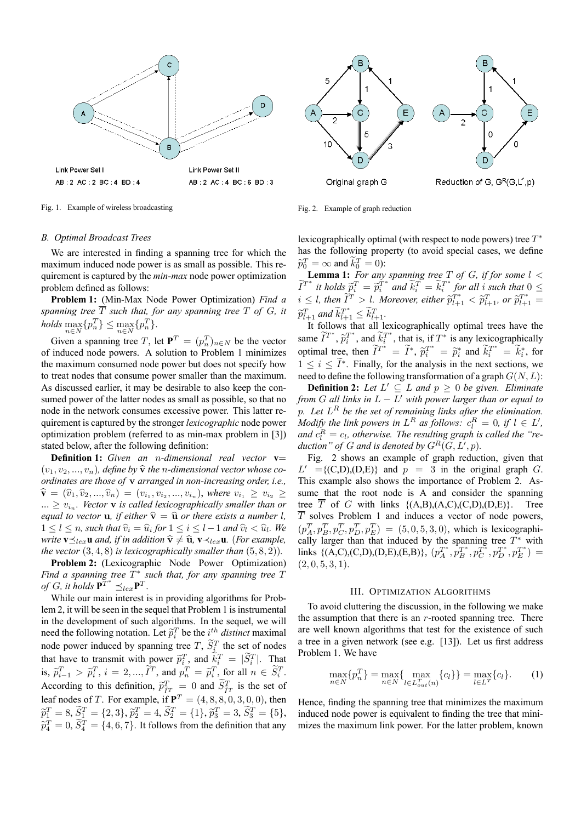

Fig. 1. Example of wireless broadcasting



Fig. 2. Example of graph reduction

## lexicographically optimal (with respect to node powers) tree  $T^*$ has the following property (to avoid special cases, we define  $\widetilde{p}_0^T = \infty$  and  $k_0^T = 0$ ):

**Lemma 1:** *For any spanning tree* T *of* G*, if for some* l <  $\widetilde{I}^{T^*}$  it holds  $\widetilde{p}_i^T = \widetilde{p}_i^T^*$  and  $\widetilde{k}_i^T = \widetilde{k}_i^T^*$  for all i such that  $0 \leq$  $i \leq l$ , then  $\widetilde{I}^T > l$ . Moreover, either  $\widetilde{p}_{l+1}^{T^*} < \widetilde{p}_{l+1}^T$ , or  $\widetilde{p}_{l+1}^{T^*} =$  $\widetilde{p}_{l+1}^T$  and  $k_{l+1}^T \leq k_{l+1}^T$ .<br>L<sub>t</sub>. C<sub>1</sub>l<sub>1</sub></sup> and the trail 1

It follows that all lexicographically optimal trees have the same  $I^{T^*}$ ,  $\tilde{p}_i^{T^*}$ , and  $\tilde{k}_i^{T^*}$ , that is, if  $T^*$  is any lexicographically optimal tree, then  $\tilde{T}^* = \tilde{T}^*$ ,  $\tilde{p}_i^{T^*} = \tilde{p}_i^*$  and  $\tilde{k}_i^{T^*} = \tilde{k}_i^*$ , for  $1 \leq i \leq I^*$ . Finally, for the analysis in the next sections, we need to define the following transformation of a graph  $G(N, L)$ :

**Definition 2:** Let  $L' \subseteq L$  and  $p \ge 0$  be given. Eliminate *from*  $G$  *all links in*  $L - L'$  *with power larger than or equal to* p*. Let* L<sup>R</sup> *be the set of remaining links after the elimination. Modify the link powers in*  $L^R$  *as follows:*  $c_l^R = 0$ , *if*  $l \in L'$ , and  $c_l^R = c_l$ , otherwise. The resulting graph is called the "reduction" of G and is denoted by  $G^R(G, L', p)$ .

Fig. 2 shows an example of graph reduction, given that  $L' = \{ (C,D), (D,E) \}$  and  $p = 3$  in the original graph G. This example also shows the importance of Problem 2. Assume that the root node is A and consider the spanning tree  $\overline{T}$  of G with links {(A,B),(A,C),(C,D),(D,E)}. Tree  $\overline{T}$  solves Problem 1 and induces a vector of node powers,  $(p_A^T, p_B^T, p_C^T, p_D^T, p_E^T) = (5, 0, 5, 3, 0)$ , which is lexicographically larger than that induced by the spanning tree  $T^*$  with links {(A,C),(C,D),(D,E),(E,B)},  $(p_A^{T^*}, p_B^{T^*}, p_C^{T^*}, p_D^{T^*}, p_E^{T^*}) =$  $(2, 0, 5, 3, 1).$ 

#### III. OPTIMIZATION ALGORITHMS

To avoid cluttering the discussion, in the following we make the assumption that there is an  $r$ -rooted spanning tree. There are well known algorithms that test for the existence of such a tree in a given network (see e.g. [13]). Let us first address Problem 1. We have

$$
\max_{n \in N} \{p_n^T\} = \max_{n \in N} \{ \max_{l \in L_{out}^T(n)} \{c_l\} \} = \max_{l \in L^T} \{c_l\}.
$$
 (1)

Hence, finding the spanning tree that minimizes the maximum induced node power is equivalent to finding the tree that minimizes the maximum link power. For the latter problem, known

## *B. Optimal Broadcast Trees*

We are interested in finding a spanning tree for which the maximum induced node power is as small as possible. This requirement is captured by the *min-max* node power optimization problem defined as follows:

**Problem 1:** (Min-Max Node Power Optimization) *Find a spanning tree*  $\overline{T}$  *such that, for any spanning tree*  $T$  *of*  $G$ *, it*  $holds \max_{n \in N} {p_n^T} \le \max_{n \in N} {p_n^T}.$ 

Given a spanning tree T, let  $\mathbf{P}^T = (p_n^T)_{n \in N}$  be the vector of induced node powers. A solution to Problem 1 minimizes the maximum consumed node power but does not specify how to treat nodes that consume power smaller than the maximum. As discussed earlier, it may be desirable to also keep the consumed power of the latter nodes as small as possible, so that no node in the network consumes excessive power. This latter requirement is captured by the stronger *lexicographic* node power optimization problem (referred to as min-max problem in [3]) stated below, after the following definition:

**Definition 1:** *Given an* n*-dimensional real vector* **v**=  $(v_1, v_2, ..., v_n)$ , define by  $\hat{v}$  the *n*-dimensional vector whose co*ordinates are those of* v *arranged in non-increasing order, i.e.,*  $\widehat{\mathbf{v}} = (\widehat{v}_1, \widehat{v}_2, ..., \widehat{v}_n) = (v_{i_1}, v_{i_2}, ..., v_{i_n}),$  where  $v_{i_1} \geq v_{i_2} \geq$  $... \ge v_{i_n}$ *. Vector* **v** *is called lexicographically smaller than or equal to vector* **u**, *if either*  $\hat{\mathbf{v}} = \hat{\mathbf{u}}$  *or there exists a number l,*  $1 \leq l \leq n$ , such that  $\hat{v}_i = \hat{u}_i$  for  $1 \leq i \leq l-1$  and  $\hat{v}_i < \hat{u}_i$ . We *write*  $\mathbf{v} \prec_{\text{lex}} \mathbf{u}$  *and, if in addition*  $\hat{\mathbf{v}} \neq \hat{\mathbf{u}}$ ,  $\mathbf{v} \prec_{\text{lex}} \mathbf{u}$ *. (For example, the vector* (3, 4, 8) *is lexicographically smaller than* (5, 8, 2))*.*

**Problem 2:** (Lexicographic Node Power Optimization) *Find a spanning tree* T<sup>∗</sup> *such that, for any spanning tree* T  $\int_{0}^{a} G$ , it holds  $\mathbf{P}^{T^*} \leq_{lex} \mathbf{P}^{T}$ .

While our main interest is in providing algorithms for Problem 2, it will be seen in the sequel that Problem 1 is instrumental in the development of such algorithms. In the sequel, we will need the following notation. Let  $\tilde{p}_i^T$  be the *i*<sup>th</sup> distinct maximal node power induced by spanning tree T,  $\widetilde{S}_i^T$  the set of nodes that have to transmit with power  $\tilde{p}_i^T$ , and  $\tilde{k}_i^T = |\tilde{S}_i^T|$ . That is,  $\tilde{p}_{i-1}^T > \tilde{p}_i^T$ ,  $i = 2, ..., \tilde{I}^T$ , and  $p_n^T = \tilde{p}_i^T$ , for all  $n \in S_i^T$ . According to this definition,  $\tilde{p}_{\tilde{T}^T}^T = 0$  and  $\tilde{S}_{\tilde{T}^T}^T$  is the set of leaf nodes of T. For example, if  $\mathbf{P}^T = (4, 8, 8, 0, 3, 0, 0)$ , then  $\widetilde{p}_1^T = 8, \widetilde{S}_1^T = \{2,3\}, \widetilde{p}_2^T = 4, \widetilde{S}_2^T = \{1\}, \widetilde{p}_3^T = 3, \widetilde{S}_3^T = \{5\},$  $\tilde{p}_4^T = 0$ ,  $\tilde{S}_4^T = \{4, 6, 7\}$ . It follows from the definition that any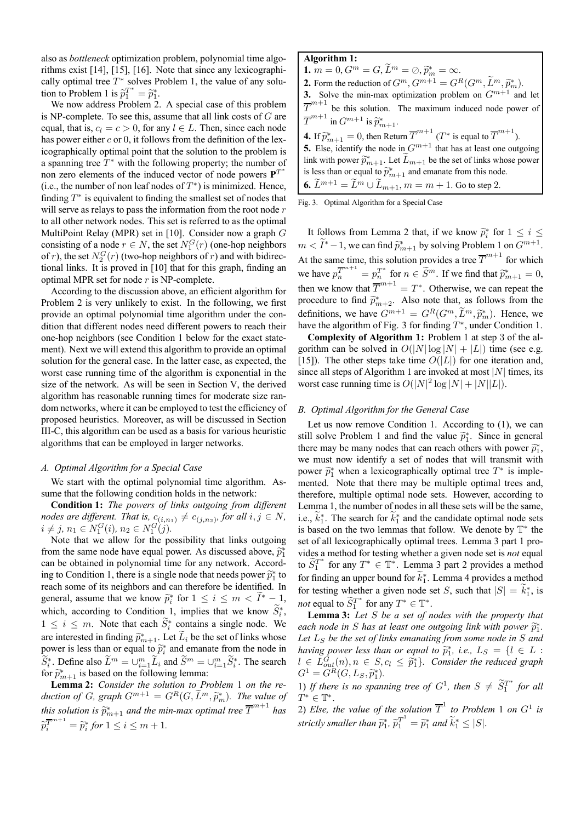also as *bottleneck* optimization problem, polynomial time algorithms exist [14], [15], [16]. Note that since any lexicographically optimal tree  $T^*$  solves Problem 1, the value of any solution to Problem 1 is  $\tilde{p}_1^{T^*} = \tilde{p}_1^*$ .

We now address Problem 2. A special case of this problem is NP-complete. To see this, assume that all link costs of  $G$  are equal, that is,  $c_l = c > 0$ , for any  $l \in L$ . Then, since each node has power either  $c$  or 0, it follows from the definition of the lexicographically optimal point that the solution to the problem is a spanning tree  $T^*$  with the following property; the number of non zero elements of the induced vector of node powers  $P^{T^*}$ (i.e., the number of non leaf nodes of  $T^*$ ) is minimized. Hence, finding  $T^*$  is equivalent to finding the smallest set of nodes that will serve as relays to pass the information from the root node r to all other network nodes. This set is referred to as the optimal MultiPoint Relay (MPR) set in [10]. Consider now a graph G consisting of a node  $r \in N$ , the set  $N_1^G(r)$  (one-hop neighbors of r), the set  $N_2^G(r)$  (two-hop neighbors of r) and with bidirectional links. It is proved in [10] that for this graph, finding an optimal MPR set for node  $r$  is NP-complete.

According to the discussion above, an efficient algorithm for Problem 2 is very unlikely to exist. In the following, we first provide an optimal polynomial time algorithm under the condition that different nodes need different powers to reach their one-hop neighbors (see Condition 1 below for the exact statement). Next we will extend this algorithm to provide an optimal solution for the general case. In the latter case, as expected, the worst case running time of the algorithm is exponential in the size of the network. As will be seen in Section V, the derived algorithm has reasonable running times for moderate size random networks, where it can be employed to test the efficiency of proposed heuristics. Moreover, as will be discussed in Section III-C, this algorithm can be used as a basis for various heuristic algorithms that can be employed in larger networks.

#### *A. Optimal Algorithm for a Special Case*

We start with the optimal polynomial time algorithm. Assume that the following condition holds in the network:

**Condition 1:** *The powers of links outgoing from different nodes are different. That is,*  $c_{(i,n_1)} \neq c_{(j,n_2)}$ *, for all*  $i, j \in N$ *,*  $i \neq j, n_1 \in N_1^G(i), n_2 \in N_1^G(j).$ 

Note that we allow for the possibility that links outgoing from the same node have equal power. As discussed above,  $\tilde{p}_1^*$ can be obtained in polynomial time for any network. According to Condition 1, there is a single node that needs power  $\tilde{p}_1^*$  to  $e^{i\omega t}$  to  $e^{i\omega t}$  to  $e^{i\omega t}$  to  $e^{i\omega t}$  to  $e^{i\omega t}$ . reach some of its neighbors and can therefore be identified. In general, assume that we know  $\widetilde{p}_i^*$  for  $1 \le i \le m < I^* - 1$ , which, according to Condition 1, implies that we know  $S_i^*$ ,  $1 \leq i \leq m$ . Note that each  $S_i^*$  contains a single node. We are interested in finding  $\tilde{p}_{m+1}^*$ . Let  $L_i$  be the set of links whose power is less than or equal to  $\widetilde{p}_i^*$  and emanate from the node in  $S_i^*$ . Define also  $L^m = \cup_{i=1}^m L_i$  and  $S^m = \cup_{i=1}^m S_i^*$ . The search for  $\tilde{p}_{m+1}^*$  is based on the following lemma:

**Lemma 2:** *Consider the solution to Problem* 1 *on the reduction of G, graph*  $G^{m+1} = G^R(G, L^m, \tilde{p}_m^*)$ . The value of  $=$  $m+1$ . *this solution is*  $\widetilde{p}^*_{m+1}$  *and the min-max optimal tree*  $\overline{T}^{m+1}$  *has*  $\overline{\pi}^{m+1}$  $\widetilde{p}_i^{\overline{T}^{m+1}} = \widetilde{p}_i^*$  for  $1 \le i \le m+1$ .

| Algorithm 1:                                                                                                            |
|-------------------------------------------------------------------------------------------------------------------------|
| 1. $m = 0, G^m = G, L^m = \emptyset, \tilde{p}_m^* = \infty.$                                                           |
| <b>2.</b> Form the reduction of $G^m$ , $G^{m+1} = G^R(G^m, \widetilde{L}^m, \widetilde{p}_m^*)$ .                      |
| 3. Solve the min-max optimization problem on $G^{m+1}$ and let                                                          |
| $\overline{\mathcal{T}}^{m+1}$<br>be this solution. The maximum induced node power of                                   |
| $\overline{T}^{m+1}$ in $G^{m+1}$ is $\widetilde{p}_{m+1}^*$ .                                                          |
| <b>4.</b> If $\widetilde{p}_{m+1}^* = 0$ , then Return $\overline{T}^{m+1}$ ( $T^*$ is equal to $\overline{T}^{m+1}$ ). |
| 5. Else, identify the node in $G^{m+1}$ that has at least one outgoing                                                  |
| link with power $\tilde{p}_{m+1}^*$ . Let $L_{m+1}$ be the set of links whose power                                     |
| is less than or equal to $\widetilde{p}_{m+1}^*$ and emanate from this node.                                            |
| <b>6.</b> $\widetilde{L}^{m+1} = \widetilde{L}^m \cup \widetilde{L}_{m+1}, m = m + 1$ . Go to step 2.                   |

Fig. 3. Optimal Algorithm for a Special Case

It follows from Lemma 2 that, if we know  $\tilde{p}_i^*$  for  $1 \leq i \leq$  $m < \tilde{I}^* - 1$ , we can find  $\tilde{p}_{m+1}^*$  by solving Problem 1 on  $G^{m+1}$ . At the same time, this solution provides a tree  $\overline{T}^{m+1}$  for which we have  $p_n^{\overline{T}^{m+1}} = p_n^{\overline{T}^*}$  for  $n \in \widetilde{S}^m$ . If we find that  $\widetilde{p}_{m+1}^* = 0$ , then we know that  $T^{m+1} = T^*$ . Otherwise, we can repeat the procedure to find  $\tilde{p}_{m+2}^*$ . Also note that, as follows from the definitions, we have  $G^{m+1} = G^R(G^m, \tilde{L}^m, \tilde{p}_m^*)$ . Hence, we have the algorithm of Fig. 2 for finding  $T^*$ , up den Condition 1. have the algorithm of Fig. 3 for finding  $T^*$ , under Condition 1.

**Complexity of Algorithm** 1**:** Problem 1 at step 3 of the algorithm can be solved in  $O(|N| \log |N| + |L|)$  time (see e.g. [15]). The other steps take time  $O(|L|)$  for one iteration and, since all steps of Algorithm 1 are invoked at most  $|N|$  times, its worst case running time is  $O(|N|^2 \log |N| + |N||L|)$ .

#### *B. Optimal Algorithm for the General Case*

Let us now remove Condition 1. According to (1), we can still solve Problem 1 and find the value  $\tilde{p}_1^*$ . Since in general these was because  $\tilde{e}_1^*$ there may be many nodes that can reach others with power  $\tilde{p}_1^*$ , we must now identify a set of nodes that will transmit with power  $\tilde{p}_1^*$  when a lexicographically optimal tree  $T^*$  is imple-<br>manted. Note that there were be multiple entimel trees and mented. Note that there may be multiple optimal trees and, therefore, multiple optimal node sets. However, according to Lemma 1, the number of nodes in all these sets will be the same, i.e.,  $k_1^*$ . The search for  $k_1^*$  and the candidate optimal node sets is based on the two lemmas that follow. We denote by  $\mathbb{T}^*$  the set of all lexicographically optimal trees. Lemma 3 part 1 provides a method for testing whether a given node set is *not* equal to  $\widetilde{S}_1^T$  for any  $T^* \in \mathbb{T}^*$ . Lemma 3 part 2 provides a method for finding an upper bound for  $k_1^*$ . Lemma 4 provides a method for testing whether a given node set S, such that  $|S| = k_1^*$ , is *not* equal to  $\widetilde{S}_1^T$  for any  $T^* \in \mathbb{T}^*$ .

**Lemma 3:** *Let* S *be a set of nodes with the property that each node in S has at least one outgoing link with power*  $\tilde{p}_1^*$ . Let  $L<sub>S</sub>$  be the set of links emanating from some node in S and *having power less than or equal to*  $\tilde{p}_1^*$ , *i.e.*,  $L_S = \{l \in L :$ <br> $l \in I_{\mathcal{G}}(s) \times S_S \times S_{\mathcal{G}}^*$  Consider the undered number  $l \in L_{out}^G(n), n \in S, c_l \leq \tilde{p}_1^*$ . Consider the reduced graph  $Cl_1 \subset GL(G, L \cong \mathbb{R})$ .  $G^1 = G^R(G, L_S, \tilde{p}_1^*).$ 

1) If there is no spanning tree of  $G^1$ , then  $S \neq \widetilde{S}_1^{T^*}$  for all  $T^* \in \mathbb{T}^*.$ 

2) *Else, the value of the solution*  $\overline{T}^1$  *to Problem* 1 *on*  $G^1$  *is strictly smaller than*  $\widetilde{p}_1^*, \widetilde{p}_1^{\overline{T}^1} = \widetilde{p}_1^*$  *and*  $\widetilde{k}_1^* \leq |S|$ .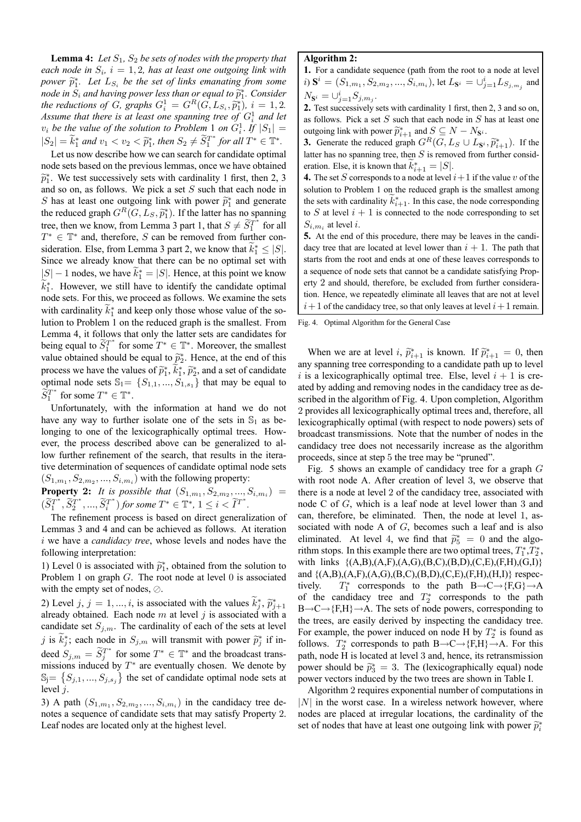**Lemma 4:** Let  $S_1$ ,  $S_2$  be sets of nodes with the property that *each node in*  $S_i$ ,  $i = 1, 2$ , has at least one outgoing link with *power*  $\widetilde{p}_1^*$ . Let  $L_{S_i}$  *be the set of links emanating from some node in*  $S_i$  *and having power less than or equal to*  $\widetilde{p}_1^*$ . Consider *the reductions of G, graphs*  $G_i^1 = G^R(G, L_{S_i}, \widetilde{p}_1^*), i = 1, 2,$ <br> *A terminal that there is at least one meaning two of G*l and letters Assume that there is at least one spanning tree of  $G_i^1$  and let  $v_i$  *be the value of the solution to Problem* 1 *on*  $G_i^1$ . If  $|S_1|$  =  $|S_2| = k_1^*$  and  $v_1 < v_2 < \tilde{p}_1^*$ , then  $S_2 \neq S_1^{T^*}$  for all  $T^* \in \mathbb{T}^*$ .

Let us now describe how we can search for candidate optimal node sets based on the previous lemmas, once we have obtained  $\widetilde{p}_1^*$ . We test successively sets with cardinality 1 first, then 2, 3 and so on, as follows. We pick a set S such that each node in S has at least one outgoing link with power  $\tilde{p}_1^*$  and generate the reduced graph  $G^R(G, L_S, \widetilde{p}_1^*)$ . If the latter has no spanning tree, then we know, from Lemma 3 part 1, that  $S \neq \widetilde{S}_1^{T^*}$  for all  $T^* \in \mathbb{T}^*$  and, therefore, S can be removed from further consideration. Else, from Lemma 3 part 2, we know that  $k_1^* \leq |S|$ . Since we already know that there can be no optimal set with  $|S| - 1$  nodes, we have  $k_1^* = |S|$ . Hence, at this point we know  $k_1^*$ . However, we still have to identify the candidate optimal node sets. For this, we proceed as follows. We examine the sets with cardinality  $k_1^*$  and keep only those whose value of the solution to Problem 1 on the reduced graph is the smallest. From Lemma 4, it follows that only the latter sets are candidates for being equal to  $\widetilde{S}_1^{T^*}$  for some  $T^* \in \mathbb{T}^*$ . Moreover, the smallest value obtained should be equal to  $\tilde{p}_2^*$ . Hence, at the end of this process we have the values of  $\tilde{p}_1^*, k_1^*, \tilde{p}_2^*,$  and a set of candidate optimal node sets  $\mathbb{S}_1 = \{S_{1,1},..., S_{1,s_1}\}\$  that may be equal to  $\widetilde{S}_1^{T^*}$  for some  $T^* \in \mathbb{T}^*$ .

Unfortunately, with the information at hand we do not have any way to further isolate one of the sets in  $\mathbb{S}_1$  as belonging to one of the lexicographically optimal trees. However, the process described above can be generalized to allow further refinement of the search, that results in the iterative determination of sequences of candidate optimal node sets  $(S_{1,m_1}, S_{2,m_2},..., S_{i,m_i})$  with the following property:

**Property 2:** *It is possible that*  $(S_{1,m_1}, S_{2,m_2}, ..., S_{i,m_i}) =$  $(\widetilde{S}_1^{T^*}, \widetilde{S}_2^{T^*}, ..., \widetilde{S}_i^{T^*})$  for some  $T^* \in \mathbb{T}^*, 1 \leq i < \widetilde{I}^{T^*}$ *.*

The refinement process is based on direct generalization of Lemmas 3 and 4 and can be achieved as follows. At iteration i we have a *candidacy tree*, whose levels and nodes have the following interpretation:

1) Level 0 is associated with  $\tilde{p}_1^*$ , obtained from the solution to<br>Disk associated  $C$ . The rest used at layer 0 is associated Problem 1 on graph  $G$ . The root node at level 0 is associated with the empty set of nodes,  $\oslash$ .

2) Level j, j = 1, ..., i, is associated with the values  $k_j^*, \tilde{p}_{j+1}^*$ already obtained. Each node  $m$  at level  $j$  is associated with a candidate set  $S_{j,m}$ . The cardinality of each of the sets at level j is  $k_j^*$ ; each node in  $S_{j,m}$  will transmit with power  $\tilde{p}_j^*$  if indeed  $S_{j,m} = \widetilde{S}_j^{T^*}$  for some  $T^* \in \mathbb{T}^*$  and the broadcast transmissions induced by  $T^*$  are eventually chosen. We denote by  $\mathbb{S}_j = \{S_{j,1},..., S_{j,s_j}\}\$  the set of candidate optimal node sets at level  $i$ .

3) A path  $(S_{1,m_1}, S_{2,m_2},..., S_{i,m_i})$  in the candidacy tree denotes a sequence of candidate sets that may satisfy Property 2. Leaf nodes are located only at the highest level.

## **Algorithm 2:**

**1.** For a candidate sequence (path from the root to a node at level *i*)  $\mathbf{S}^i$  =  $(S_{1,m_1}, S_{2,m_2}, ..., S_{i,m_i})$ , let  $L_{\mathbf{S}^i} = ∪_{j=1}^i L_{S_{j,m_j}}$  and  $N_{\mathbf{S}^i} = \cup_{j=1}^i S_{j,m_j}$ .

**2.** Test successively sets with cardinality 1 first, then 2, 3 and so on, as follows. Pick a set  $S$  such that each node in  $S$  has at least one outgoing link with power  $\widetilde{p}_{i+1}^*$  and  $S \subseteq N - N_{\mathbf{S}^i}$ .

**3.** Generate the reduced graph  $G^R(G, L_S \cup L_{S^i}, \widetilde{p}_{i+1}^*)$ . If the latter has no spanning tree, then  $S$  is removed from further consideration. Else, it is known that  $k_{i+1}^* = |S|$ .

**4.** The set S corresponds to a node at level  $i+1$  if the value v of the solution to Problem 1 on the reduced graph is the smallest among the sets with cardinality  $k_{i+1}^*$ . In this case, the node corresponding to S at level  $i + 1$  is connected to the node corresponding to set  $S_{i,m_i}$  at level i.

**5.** At the end of this procedure, there may be leaves in the candidacy tree that are located at level lower than  $i + 1$ . The path that starts from the root and ends at one of these leaves corresponds to a sequence of node sets that cannot be a candidate satisfying Property 2 and should, therefore, be excluded from further consideration. Hence, we repeatedly eliminate all leaves that are not at level  $i+1$  of the candidacy tree, so that only leaves at level  $i+1$  remain.

Fig. 4. Optimal Algorithm for the General Case

When we are at level *i*,  $\tilde{p}_{i+1}^*$  is known. If  $\tilde{p}_{i+1}^* = 0$ , then any spanning tree corresponding to a candidate path up to level i is a lexicographically optimal tree. Else, level  $i + 1$  is created by adding and removing nodes in the candidacy tree as described in the algorithm of Fig. 4. Upon completion, Algorithm 2 provides all lexicographically optimal trees and, therefore, all lexicographically optimal (with respect to node powers) sets of broadcast transmissions. Note that the number of nodes in the candidacy tree does not necessarily increase as the algorithm proceeds, since at step 5 the tree may be "pruned".

Fig. 5 shows an example of candidacy tree for a graph  $G$ with root node A. After creation of level 3, we observe that there is a node at level 2 of the candidacy tree, associated with node C of G, which is a leaf node at level lower than 3 and can, therefore, be eliminated. Then, the node at level 1, associated with node A of  $G$ , becomes such a leaf and is also eliminated. At level 4, we find that  $\tilde{p}_5^* = 0$  and the algo-<br>sithm atoms. In this summals than are true entimed that  $T^*T^*$ rithm stops. In this example there are two optimal trees,  $T_1^*, T_2^*$ , with links  $\{(A,B), (A,F), (A,G), (B,C), (B,D), (C,E), (F,H), (G,I)\}$ and  $\{(A,B), (A,F), (A,G), (B,C), (B,D), (C,E), (F,H), (H,I)\}\)$  respectively.  $T_1^*$  corresponds to the path B $\rightarrow$ C $\rightarrow$ {F,G} $\rightarrow$ A of the candidacy tree and  $T_2^*$  corresponds to the path  $B\rightarrow C\rightarrow \{F,H\}\rightarrow A$ . The sets of node powers, corresponding to the trees, are easily derived by inspecting the candidacy tree. For example, the power induced on node H by  $T_2^*$  is found as follows.  $T_2^*$  corresponds to path B $\rightarrow$ C $\rightarrow$ {F,H} $\rightarrow$ A. For this path, node H is located at level 3 and, hence, its retransmission power should be  $\tilde{p}_3^* = 3$ . The (lexicographically equal) node power vectors induced by the two trees are shown in Table I.

Algorithm 2 requires exponential number of computations in  $|N|$  in the worst case. In a wireless network however, where nodes are placed at irregular locations, the cardinality of the set of nodes that have at least one outgoing link with power  $\tilde{p}_i^*$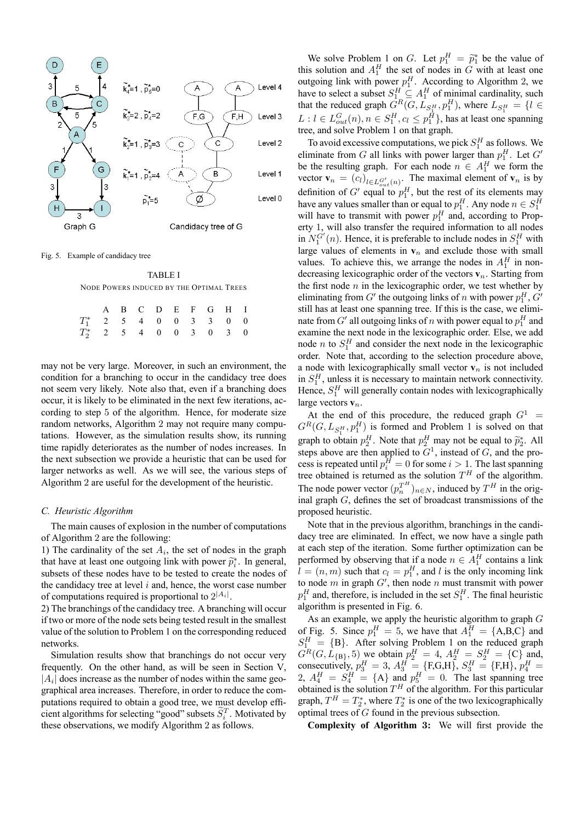

Fig. 5. Example of candidacy tree

TABLE I NODE POWERS INDUCED BY THE OPTIMAL TREES

|                                           |  |  |  | A B C D E F G H I |  |
|-------------------------------------------|--|--|--|-------------------|--|
| $T_1^*$ 2   5   4   0   0   3   3   0   0 |  |  |  |                   |  |
| $T_2^*$ 2 5 4 0 0 3 0 3 0                 |  |  |  |                   |  |

may not be very large. Moreover, in such an environment, the condition for a branching to occur in the candidacy tree does not seem very likely. Note also that, even if a branching does occur, it is likely to be eliminated in the next few iterations, according to step 5 of the algorithm. Hence, for moderate size random networks, Algorithm 2 may not require many computations. However, as the simulation results show, its running time rapidly deteriorates as the number of nodes increases. In the next subsection we provide a heuristic that can be used for larger networks as well. As we will see, the various steps of Algorithm 2 are useful for the development of the heuristic.

## *C. Heuristic Algorithm*

The main causes of explosion in the number of computations of Algorithm 2 are the following:

1) The cardinality of the set  $A_i$ , the set of nodes in the graph that have at least one outgoing link with power  $\widetilde{p}_i^*$ . In general, where  $\epsilon$  these nodes have to be to take the modes of the nodes subsets of these nodes have to be tested to create the nodes of the candidacy tree at level  $i$  and, hence, the worst case number of computations required is proportional to  $2^{|A_i|}$ .

2) The branchings of the candidacy tree. A branching will occur if two or more of the node sets being tested result in the smallest value of the solution to Problem 1 on the corresponding reduced networks.

Simulation results show that branchings do not occur very frequently. On the other hand, as will be seen in Section V,  $|A_i|$  does increase as the number of nodes within the same geographical area increases. Therefore, in order to reduce the computations required to obtain a good tree, we must develop efficient algorithms for selecting "good" subsets  $S_i^T$ . Motivated by these observations, we modify Algorithm 2 as follows.

We solve Problem 1 on G. Let  $p_1^H = \tilde{p}_1^*$  be the value of this solution and  $A_1^H$  the set of nodes in G with at least one outgoing link with power  $p_1^H$ . According to Algorithm 2, we have to select a subset  $S_1^H \subseteq A_1^H$  of minimal cardinality, such that the reduced graph  $G^R(G, L_{S_1^H}, p_1^H)$ , where  $L_{S_1^H} = \{l \in$  $L: l \in L_{out}^G(n)$ ,  $n \in S_1^H$ ,  $c_l \leq p_1^H$ }, has at least one spanning tree, and solve Problem 1 on that graph.

To avoid excessive computations, we pick  $S_1^H$  as follows. We eliminate from G all links with power larger than  $p_1^H$ . Let G' be the resulting graph. For each node  $n \in A_1^H$  we form the vector  $\mathbf{v}_n = (c_l)_{l \in L_{out}^{G'}(n)}$ . The maximal element of  $\mathbf{v}_n$  is by definition of G' equal to  $p_1^H$ , but the rest of its elements may have any values smaller than or equal to  $p_1^H$ . Any node  $n \in S_1^H$ will have to transmit with power  $p_1^H$  and, according to Property 1, will also transfer the required information to all nodes in  $N_1^{G'}(n)$ . Hence, it is preferable to include nodes in  $S_1^H$  with large values of elements in  $v_n$  and exclude those with small values. To achieve this, we arrange the nodes in  $A_1^H$  in nondecreasing lexicographic order of the vectors  $v_n$ . Starting from the first node  $n$  in the lexicographic order, we test whether by eliminating from  $G'$  the outgoing links of n with power  $p_1^H$ ,  $G'$ still has at least one spanning tree. If this is the case, we eliminate from  $G'$  all outgoing links of  $n$  with power equal to  $p_1^H$  and examine the next node in the lexicographic order. Else, we add node *n* to  $S_1^H$  and consider the next node in the lexicographic order. Note that, according to the selection procedure above, a node with lexicographically small vector  $v_n$  is not included in  $S_1^H$ , unless it is necessary to maintain network connectivity. Hence,  $S_1^H$  will generally contain nodes with lexicographically large vectors **v**n.

At the end of this procedure, the reduced graph  $G<sup>1</sup>$  =  $G^R(G, L_{S_1^H}, p_1^H)$  is formed and Problem 1 is solved on that graph to obtain  $p_2^H$ . Note that  $p_2^H$  may not be equal to  $\tilde{p}_2^*$ . All steps above are then applied to  $G<sup>1</sup>$ , instead of G, and the process is repeated until  $p_i^H = 0$  for some  $i > 1$ . The last spanning tree obtained is returned as the solution  $T^H$  of the algorithm. The node power vector  $(p_n^{T^H})_{n \in N}$ , induced by  $T^H$  in the original graph G, defines the set of broadcast transmissions of the proposed heuristic.

Note that in the previous algorithm, branchings in the candidacy tree are eliminated. In effect, we now have a single path at each step of the iteration. Some further optimization can be performed by observing that if a node  $n \in A_1^H$  contains a link  $l = (n, m)$  such that  $c_l = p_1^H$ , and l is the only incoming link to node m in graph  $G'$ , then node n must transmit with power  $p_1^H$  and, therefore, is included in the set  $S_1^H$ . The final heuristic algorithm is presented in Fig. 6.

As an example, we apply the heuristic algorithm to graph  $G$ of Fig. 5. Since  $p_1^H = 5$ , we have that  $A_1^H = \{A, B, C\}$  and  $S_1^H = \{B\}$ . After solving Problem 1 on the reduced graph  $G^R(G, L_{\{B\}}, 5)$  we obtain  $p_1^H = 4$ ,  $A_2^H = S_2^H = \{C\}$  and, consecutively,  $p_3^H = 3$ ,  $A_3^H = \{F,G,H\}$ ,  $S_3^H = \{F,H\}$ ,  $p_4^H =$ 2,  $A_4^H = S_4^H = \{ \text{A} \}$  and  $p_5^H = 0$ . The last spanning tree obtained is the solution  $T^H$  of the algorithm. For this particular graph,  $T^H = T_2^*$ , where  $T_2^*$  is one of the two lexicographically optimal trees of G found in the previous subsection.

**Complexity of Algorithm** 3**:** We will first provide the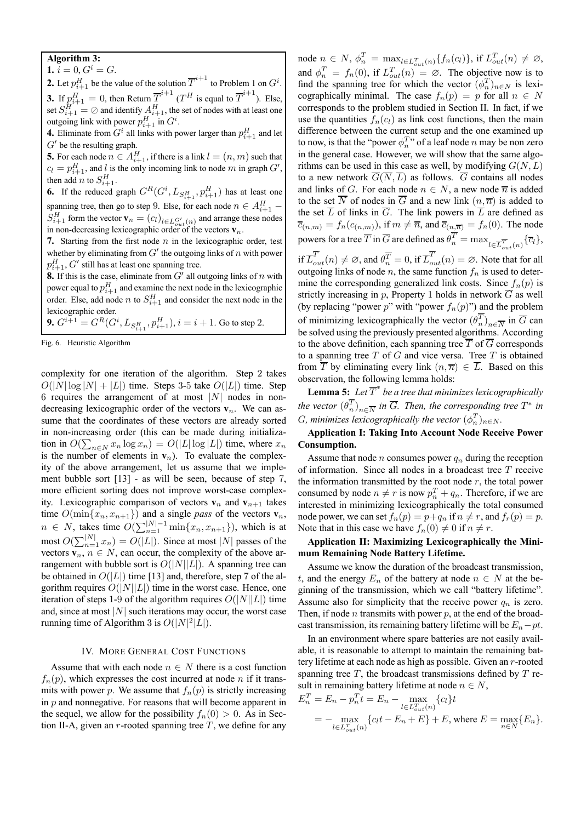## **Algorithm 3:**

1.  $i = 0, G^i = G$ . **2.** Let  $p_{i+1}^H$  be the value of the solution  $\overline{T}^{i+1}$  to Problem 1 on  $G^i$ . **3.** If  $p_{i+1}^H = 0$ , then Return  $\overline{T}^{i+1}$  ( $T^H$  is equal to  $\overline{T}^{i+1}$ ). Else, set  $S_{i+1}^H = \oslash$  and identify  $A_{i+1}^H$ , the set of nodes with at least one outgoing link with power  $p_{i+1}^H$  in  $G^i$ .

**4.** Eliminate from  $G^i$  all links with power larger than  $p_{i+1}^H$  and let  $G'$  be the resulting graph.

**5.** For each node  $n \in A_{i+1}^H$ , if there is a link  $l = (n, m)$  such that  $c_l = p_{i+1}^H$ , and l is the only incoming link to node m in graph  $G'$ , then add *n* to  $S_{i+1}^H$ .

**6.** If the reduced graph  $G^R(G^i, L_{S_{i+1}^H}, p_{i+1}^H)$  has at least one spanning tree, then go to step 9. Else, for each node  $n \in A_{i+1}^H$  –  $S_{i+1}^H$  form the vector  $\mathbf{v}_n = (c_l)_{l \in L_{out}^{G'}}(n)$  and arrange these nodes in non-decreasing lexicographic order of the vectors  $\mathbf{v}_n$ .

**7.** Starting from the first node  $n$  in the lexicographic order, test whether by eliminating from  $G'$  the outgoing links of  $n$  with power  $p_{i+1}^H$ , G' still has at least one spanning tree.

**8.** If this is the case, eliminate from  $G'$  all outgoing links of n with power equal to  $p_{i+1}^H$  and examine the next node in the lexicographic order. Else, add node *n* to  $S_{i+1}^H$  and consider the next node in the lexicographic order.

**9.**  $G^{i+1} = G^R(G^i, L_{S^H_{i+1}}, p^H_{i+1}), i = i+1$ . Go to step 2.

Fig. 6. Heuristic Algorithm

complexity for one iteration of the algorithm. Step 2 takes  $O(|N| \log |N| + |L|)$  time. Steps 3-5 take  $O(|L|)$  time. Step 6 requires the arrangement of at most  $|N|$  nodes in nondecreasing lexicographic order of the vectors  $v_n$ . We can assume that the coordinates of these vectors are already sorted in non-increasing order (this can be made during initialization in  $O(\sum_{n \in N} x_n \log x_n) = O(|L| \log |L|)$  time, where  $x_n$ is the number of elements in  $v_n$ ). To evaluate the complexity of the above arrangement, let us assume that we implement bubble sort [13] - as will be seen, because of step 7, more efficient sorting does not improve worst-case complexity. Lexicographic comparison of vectors  $v_n$  and  $v_{n+1}$  takes time  $O(\min\{x_n, x_{n+1}\})$  and a single *pass* of the vectors  $\mathbf{v}_n$ ,  $n \in N$ , takes time  $O(\sum_{n=1}^{|N|-1} \min\{x_n, x_{n+1}\})$ , which is at most  $O(\sum_{n=1}^{|N|} x_n) = O(|L|)$ . Since at most  $|N|$  passes of the vectors  $v_n$ ,  $n \in N$ , can occur, the complexity of the above arrangement with bubble sort is  $O(|N||L|)$ . A spanning tree can be obtained in  $O(|L|)$  time [13] and, therefore, step 7 of the algorithm requires  $O(|N||L|)$  time in the worst case. Hence, one iteration of steps 1-9 of the algorithm requires  $O(|N||L|)$  time and, since at most  $|N|$  such iterations may occur, the worst case running time of Algorithm 3 is  $O(|N|^2|L|)$ .

#### IV. MORE GENERAL COST FUNCTIONS

Assume that with each node  $n \in N$  there is a cost function  $f_n(p)$ , which expresses the cost incurred at node n if it transmits with power p. We assume that  $f_n(p)$  is strictly increasing in  $p$  and nonnegative. For reasons that will become apparent in the sequel, we allow for the possibility  $f_n(0) > 0$ . As in Section II-A, given an r-rooted spanning tree  $T$ , we define for any

node  $n \in N$ ,  $\phi_n^T = \max_{l \in L_{out}^T(n)} \{f_n(c_l)\},\text{ if } L_{out}^T(n) \neq \emptyset,$ and  $\phi_n^T = f_n(0)$ , if  $L_{out}^T(n) = \emptyset$ . The objective now is to find the spanning tree for which the vector  $(\phi_n^T)_{n \in N}$  is lexicographically minimal. The case  $f_n(p) = p$  for all  $n \in N$ corresponds to the problem studied in Section II. In fact, if we use the quantities  $f_n(c_l)$  as link cost functions, then the main difference between the current setup and the one examined up to now, is that the "power  $\phi_n^T$ " of a leaf node n may be non zero in the general case. However, we will show that the same algorithms can be used in this case as well, by modifying  $G(N, L)$ to a new network  $\overline{G}(\overline{N},\overline{L})$  as follows.  $\overline{G}$  contains all nodes and links of G. For each node  $n \in N$ , a new node  $\overline{n}$  is added to the set  $\overline{N}$  of nodes in  $\overline{G}$  and a new link  $(n, \overline{n})$  is added to the set  $\overline{L}$  of links in  $\overline{G}$ . The link powers in  $\overline{L}$  are defined as  $\overline{c}_{(n,m)} = f_n(c_{(n,m)})$ , if  $m \neq \overline{n}$ , and  $\overline{c}_{(n,\overline{n})} = f_n(0)$ . The node powers for a tree  $\overline{T}$  in  $\overline{G}$  are defined as  $\theta_n^T = \max_{l \in \overline{L}_{out}^T(n)} {\{\overline{c}_l\}}$ ,

if  $\overline{L}_{out}^T(n) \neq \emptyset$ , and  $\theta_n^{\overline{T}} = 0$ , if  $\overline{L}_{out}^T(n) = \emptyset$ . Note that for all outgoing links of node  $n$ , the same function  $f_n$  is used to determine the corresponding generalized link costs. Since  $f_n(p)$  is strictly increasing in p, Property 1 holds in network  $\overline{G}$  as well (by replacing "power  $p$ " with "power  $f_n(p)$ ") and the problem of minimizing lexicographically the vector  $(\theta_n^T)_{n \in \overline{N}}$  in  $\overline{G}$  can be solved using the previously presented algorithms. According to the above definition, each spanning tree  $\overline{T}$  of  $\overline{G}$  corresponds to a spanning tree  $T$  of  $G$  and vice versa. Tree  $T$  is obtained from  $\overline{T}$  by eliminating every link  $(n, \overline{n}) \in \overline{L}$ . Based on this observation, the following lemma holds:

**Lemma 5:** Let  $\overline{T}^*$  be a tree that minimizes lexicographically *the vector*  $(\theta_n^T)_{n \in \overline{N}}$  *in*  $\overline{G}$ *. Then, the corresponding tree*  $T^*$  *in* G, minimizes lexicographically the vector  $(\phi_n^T)_{n\in N}$ .

**Application I: Taking Into Account Node Receive Power Consumption.**

Assume that node *n* consumes power  $q_n$  during the reception of information. Since all nodes in a broadcast tree  $T$  receive the information transmitted by the root node  $r$ , the total power consumed by node  $n \neq r$  is now  $p_n^T + q_n$ . Therefore, if we are interested in minimizing lexicographically the total consumed node power, we can set  $f_n(p) = p + q_n$  if  $n \neq r$ , and  $f_r(p) = p$ . Note that in this case we have  $f_n(0) \neq 0$  if  $n \neq r$ .

**Application II: Maximizing Lexicographically the Minimum Remaining Node Battery Lifetime.**

Assume we know the duration of the broadcast transmission, t, and the energy  $E_n$  of the battery at node  $n \in N$  at the beginning of the transmission, which we call "battery lifetime". Assume also for simplicity that the receive power  $q_n$  is zero. Then, if node *n* transmits with power  $p$ , at the end of the broadcast transmission, its remaining battery lifetime will be  $E_n - pt$ .

In an environment where spare batteries are not easily available, it is reasonable to attempt to maintain the remaining battery lifetime at each node as high as possible. Given an r-rooted spanning tree  $T$ , the broadcast transmissions defined by  $T$  result in remaining battery lifetime at node  $n \in N$ ,

$$
E_n^T = E_n - p_n^T t = E_n - \max_{l \in L_{out}^T(n)} \{c_l\} t
$$
  
= 
$$
-\max_{l \in L_{out}^T(n)} \{c_l t - E_n + E\} + E
$$
, where  $E = \max_{n \in N} \{E_n\}.$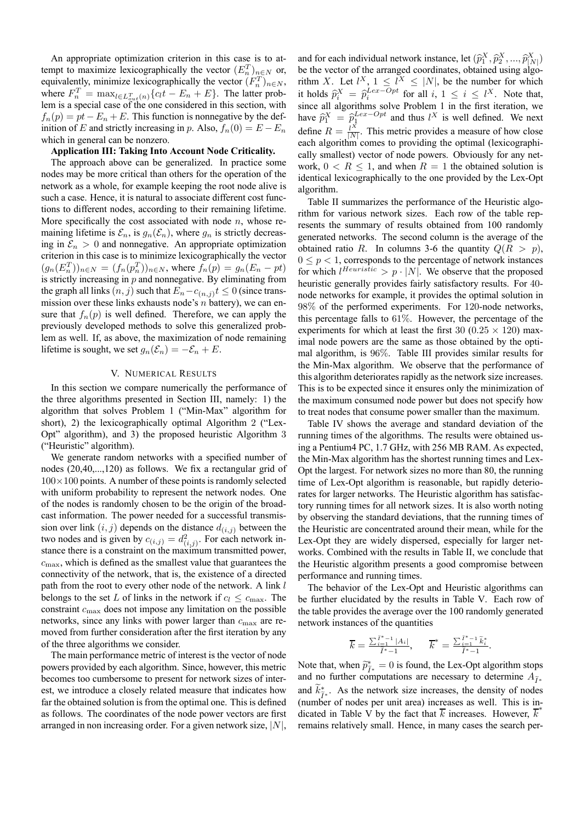An appropriate optimization criterion in this case is to attempt to maximize lexicographically the vector  $(E_n^T)_{n \in \mathbb{N}}$  or, equivalently, minimize lexicographically the vector  $(F_n^T)_{n \in N}$ , where  $F_n^T = \max_{l \in L_{out}^T(n)} \{c_l t - E_n + E\}$ . The latter problem is a special case of the one considered in this section, with  $f_n(p) = pt - E_n + E$ . This function is nonnegative by the definition of E and strictly increasing in p. Also,  $f_n(0) = E - E_n$ which in general can be nonzero.

#### **Application III: Taking Into Account Node Criticality.**

The approach above can be generalized. In practice some nodes may be more critical than others for the operation of the network as a whole, for example keeping the root node alive is such a case. Hence, it is natural to associate different cost functions to different nodes, according to their remaining lifetime. More specifically the cost associated with node  $n$ , whose remaining lifetime is  $\mathcal{E}_n$ , is  $g_n(\mathcal{E}_n)$ , where  $g_n$  is strictly decreasing in  $\mathcal{E}_n > 0$  and nonnegative. An appropriate optimization criterion in this case is to minimize lexicographically the vector  $(g_n(E_n^T))_{n \in N} = (f_n(p_n^T))_{n \in N}$ , where  $f_n(p) = g_n(E_n - pt)$ is strictly increasing in  $p$  and nonnegative. By eliminating from the graph all links  $(n, j)$  such that  $E_n - c_{(n,j)}t \leq 0$  (since transmission over these links exhausts node's  $n$  battery), we can ensure that  $f_n(p)$  is well defined. Therefore, we can apply the previously developed methods to solve this generalized problem as well. If, as above, the maximization of node remaining lifetime is sought, we set  $g_n(\mathcal{E}_n) = -\mathcal{E}_n + E$ .

## V. NUMERICAL RESULTS

In this section we compare numerically the performance of the three algorithms presented in Section III, namely: 1) the algorithm that solves Problem 1 ("Min-Max" algorithm for short), 2) the lexicographically optimal Algorithm 2 ("Lex-Opt" algorithm), and 3) the proposed heuristic Algorithm 3 ("Heuristic" algorithm).

We generate random networks with a specified number of nodes (20,40,...,120) as follows. We fix a rectangular grid of  $100\times100$  points. A number of these points is randomly selected with uniform probability to represent the network nodes. One of the nodes is randomly chosen to be the origin of the broadcast information. The power needed for a successful transmission over link  $(i, j)$  depends on the distance  $d_{(i,j)}$  between the two nodes and is given by  $c_{(i,j)} = d_{(i,j)}^2$ . For each network instance there is a constraint on the maximum transmitted power,  $c_{\text{max}}$ , which is defined as the smallest value that guarantees the connectivity of the network, that is, the existence of a directed path from the root to every other node of the network. A link l belongs to the set L of links in the network if  $c_l \leq c_{\text{max}}$ . The constraint  $c_{\text{max}}$  does not impose any limitation on the possible networks, since any links with power larger than  $c_{\text{max}}$  are removed from further consideration after the first iteration by any of the three algorithms we consider.

The main performance metric of interest is the vector of node powers provided by each algorithm. Since, however, this metric becomes too cumbersome to present for network sizes of interest, we introduce a closely related measure that indicates how far the obtained solution is from the optimal one. This is defined as follows. The coordinates of the node power vectors are first arranged in non increasing order. For a given network size,  $|N|$ ,

and for each individual network instance, let  $(\hat{p}_1^X, \hat{p}_2^X, ..., \hat{p}_{N}^X)$ be the vector of the arranged coordinates, obtained using algorithm X. Let  $l^X$ ,  $1 \leq l^X \leq |N|$ , be the number for which it holds  $\hat{p}_i^X = \hat{p}_i^{Lex-Opt}$  for all  $i, 1 \le i \le l^X$ . Note that, since all algorithms solve Problem 1 in the first iteration, we have  $\hat{p}_1^X = \hat{p}_1^{Lex-Opt}$  and thus l<sup>X</sup> is well defined. We next define  $R = \frac{l^A}{|N|}$ . This metric provides a measure of how close each algorithm comes to providing the optimal (lexicographically smallest) vector of node powers. Obviously for any network,  $0 \lt R \lt 1$ , and when  $R = 1$  the obtained solution is identical lexicographically to the one provided by the Lex-Opt algorithm.

Table II summarizes the performance of the Heuristic algorithm for various network sizes. Each row of the table represents the summary of results obtained from 100 randomly generated networks. The second column is the average of the obtained ratio R. In columns 3-6 the quantity  $Q(R > p)$ ,  $0 \leq p < 1$ , corresponds to the percentage of network instances for which  $l^{Heuristic} > p \cdot |N|$ . We observe that the proposed heuristic generally provides fairly satisfactory results. For 40 node networks for example, it provides the optimal solution in 98% of the performed experiments. For 120-node networks, this percentage falls to 61%. However, the percentage of the experiments for which at least the first 30 (0.25  $\times$  120) maximal node powers are the same as those obtained by the optimal algorithm, is 96%. Table III provides similar results for the Min-Max algorithm. We observe that the performance of this algorithm deteriorates rapidly as the network size increases. This is to be expected since it ensures only the minimization of the maximum consumed node power but does not specify how to treat nodes that consume power smaller than the maximum.

Table IV shows the average and standard deviation of the running times of the algorithms. The results were obtained using a Pentium4 PC, 1.7 GHz, with 256 MB RAM. As expected, the Min-Max algorithm has the shortest running times and Lex-Opt the largest. For network sizes no more than 80, the running time of Lex-Opt algorithm is reasonable, but rapidly deteriorates for larger networks. The Heuristic algorithm has satisfactory running times for all network sizes. It is also worth noting by observing the standard deviations, that the running times of the Heuristic are concentrated around their mean, while for the Lex-Opt they are widely dispersed, especially for larger networks. Combined with the results in Table II, we conclude that the Heuristic algorithm presents a good compromise between performance and running times.

The behavior of the Lex-Opt and Heuristic algorithms can be further elucidated by the results in Table V. Each row of the table provides the average over the 100 randomly generated network instances of the quantities

$$
\overline{k} = \frac{\sum_{i=1}^{\tilde{l}^*-1} |A_i|}{\tilde{l}^*-1}, \qquad \overline{k}^* = \frac{\sum_{i=1}^{\tilde{l}^*-1} \tilde{k}^*_i}{\tilde{l}^*-1}.
$$

Note that, when  $\tilde{p}_{\tilde{l}^*}^* = 0$  is found, the Lex-Opt algorithm stops and no further computations are necessary to determine  $A_{\tilde{\jmath} *}$ and  $k_{\tilde{l}^*}^*$ . As the network size increases, the density of nodes (number of nodes nor unit erec) increases as well. This is in  $\lim_{x \to \infty} \frac{1}{x}$ . The the network side increases, the density of holds dicated in Table V by the fact that  $\overline{k}$  increases. However,  $\overline{k}^*$ remains relatively small. Hence, in many cases the search per-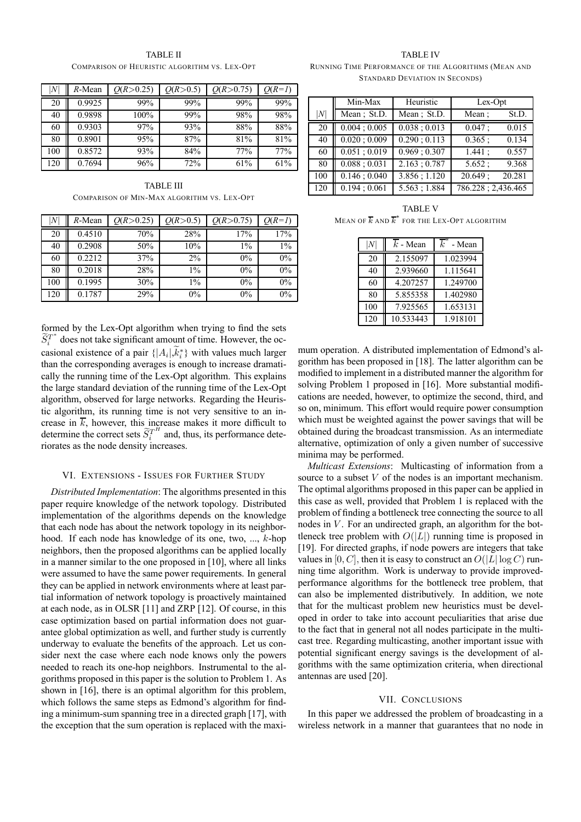| ۱N  | $R$ -Mean | O(R > 0.25) | O(R > 0.5) | O(R > 0.75) | $O(R=1)$ |
|-----|-----------|-------------|------------|-------------|----------|
| 20  | 0.9925    | 99%         | 99%        | 99%         | 99%      |
| 40  | 0.9898    | 100%        | 99%        | 98%         | 98%      |
| 60  | 0.9303    | 97%         | 93%        | 88%         | 88%      |
| 80  | 0.8901    | 95%         | 87%        | 81%         | 81%      |
| 100 | 0.8572    | 93%         | 84%        | 77%         | 77%      |
| 120 | 0.7694    | 96%         | 72%        | 61%         | 61%      |

TABLE II COMPARISON OF HEURISTIC ALGORITHM VS. LEX-OPT

TABLE III COMPARISON OF MIN-MAX ALGORITHM VS. LEX-OPT

| N   | $R$ -Mean | O(R > 0.25) | O(R > 0.5) | O(R > 0.75) | $O(R=1)$ |
|-----|-----------|-------------|------------|-------------|----------|
| 20  | 0.4510    | 70%         | 28%        | 17%         | 17%      |
| 40  | 0.2908    | 50%         | 10%        | $1\%$       | $1\%$    |
| 60  | 0.2212    | 37%         | 2%         | $0\%$       | $0\%$    |
| 80  | 0.2018    | 28%         | $1\%$      | $0\%$       | $0\%$    |
| 100 | 0.1995    | 30%         | $1\%$      | $0\%$       | $0\%$    |
| 120 | 0.1787    | 29%         | $0\%$      | $0\%$       | $0\%$    |

formed by the Lex-Opt algorithm when trying to find the sets  $\widetilde{S}_i^T$  does not take significant amount of time. However, the occasional existence of a pair  $\{ |A_i|, k_i^* \}$  with values much larger than the corresponding averages is enough to increase dramatically the running time of the Lex-Opt algorithm. This explains the large standard deviation of the running time of the Lex-Opt algorithm, observed for large networks. Regarding the Heuristic algorithm, its running time is not very sensitive to an increase in  $\overline{k}$ , however, this increase makes it more difficult to determine the correct sets  $\widetilde{S}_i^{T^H}$  and, thus, its performance deteriorates as the node density increases.

## VI. EXTENSIONS - ISSUES FOR FURTHER STUDY

*Distributed Implementation*: The algorithms presented in this paper require knowledge of the network topology. Distributed implementation of the algorithms depends on the knowledge that each node has about the network topology in its neighborhood. If each node has knowledge of its one, two, ..., k-hop neighbors, then the proposed algorithms can be applied locally in a manner similar to the one proposed in [10], where all links were assumed to have the same power requirements. In general they can be applied in network environments where at least partial information of network topology is proactively maintained at each node, as in OLSR [11] and ZRP [12]. Of course, in this case optimization based on partial information does not guarantee global optimization as well, and further study is currently underway to evaluate the benefits of the approach. Let us consider next the case where each node knows only the powers needed to reach its one-hop neighbors. Instrumental to the algorithms proposed in this paper is the solution to Problem 1. As shown in [16], there is an optimal algorithm for this problem, which follows the same steps as Edmond's algorithm for finding a minimum-sum spanning tree in a directed graph [17], with the exception that the sum operation is replaced with the maxi-

TABLE IV

RUNNING TIME PERFORMANCE OF THE ALGORITHMS (MEAN AND STANDARD DEVIATION IN SECONDS)

|     | Min-Max<br>Heuristic |                            | Lex-Opt            |  |  |
|-----|----------------------|----------------------------|--------------------|--|--|
| N   | Mean; St.D.          | Mean; St.D.                | Mean:<br>St.D.     |  |  |
| 20  | $0.004 \div 0.005$   | 0.038:0.013                | 0.047:<br>0.015    |  |  |
| 40  | $0.020 \div 0.009$   | $\overline{0.290}$ ; 0.113 | 0.365:<br>0.134    |  |  |
| 60  | 0.051;0.019          | 0.969:0.307                | 1.441:<br>0.557    |  |  |
| 80  | 0.088; 0.031         | 2.163:0.787                | 5.652:<br>9.368    |  |  |
| 100 | 0.146:0.040          | 3.856; 1.120               | 20.649:<br>20.281  |  |  |
| 120 | 0.194:0.061          | 5.563; 1.884               | 786.228; 2,436.465 |  |  |

TABLE V MEAN OF  $\overline{k}$  and  $\overline{k}^*$  for the Lex-Opt algorithm

|     | $k$ - Mean | k.<br>- Mean |
|-----|------------|--------------|
| 20  | 2.155097   | 1.023994     |
| 40  | 2.939660   | 1.115641     |
| 60  | 4.207257   | 1.249700     |
| 80  | 5.855358   | 1.402980     |
| 100 | 7.925565   | 1.653131     |
| 120 | 10.533443  | 1.918101     |

mum operation. A distributed implementation of Edmond's algorithm has been proposed in [18]. The latter algorithm can be modified to implement in a distributed manner the algorithm for solving Problem 1 proposed in [16]. More substantial modifications are needed, however, to optimize the second, third, and so on, minimum. This effort would require power consumption which must be weighted against the power savings that will be obtained during the broadcast transmission. As an intermediate alternative, optimization of only a given number of successive minima may be performed.

*Multicast Extensions*: Multicasting of information from a source to a subset V of the nodes is an important mechanism. The optimal algorithms proposed in this paper can be applied in this case as well, provided that Problem 1 is replaced with the problem of finding a bottleneck tree connecting the source to all nodes in  $V$ . For an undirected graph, an algorithm for the bottleneck tree problem with  $O(|L|)$  running time is proposed in [19]. For directed graphs, if node powers are integers that take values in [0, C], then it is easy to construct an  $O(|L| \log C)$  running time algorithm. Work is underway to provide improvedperformance algorithms for the bottleneck tree problem, that can also be implemented distributively. In addition, we note that for the multicast problem new heuristics must be developed in order to take into account peculiarities that arise due to the fact that in general not all nodes participate in the multicast tree. Regarding multicasting, another important issue with potential significant energy savings is the development of algorithms with the same optimization criteria, when directional antennas are used [20].

## VII. CONCLUSIONS

In this paper we addressed the problem of broadcasting in a wireless network in a manner that guarantees that no node in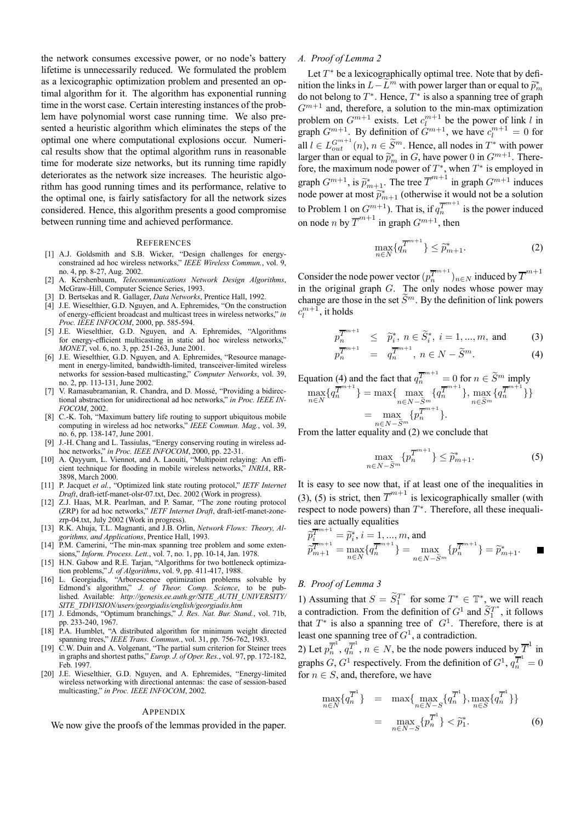the network consumes excessive power, or no node's battery lifetime is unnecessarily reduced. We formulated the problem as a lexicographic optimization problem and presented an optimal algorithm for it. The algorithm has exponential running time in the worst case. Certain interesting instances of the problem have polynomial worst case running time. We also presented a heuristic algorithm which eliminates the steps of the optimal one where computational explosions occur. Numerical results show that the optimal algorithm runs in reasonable time for moderate size networks, but its running time rapidly deteriorates as the network size increases. The heuristic algorithm has good running times and its performance, relative to the optimal one, is fairly satisfactory for all the network sizes considered. Hence, this algorithm presents a good compromise between running time and achieved performance.

#### **REFERENCES**

- [1] A.J. Goldsmith and S.B. Wicker, "Design challenges for energyconstrained ad hoc wireless networks," *IEEE Wireless Commun.*, vol. 9, no. 4, pp. 8-27, Aug. 2002.
- [2] A. Kershenbaum, *Telecommunications Network Design Algorithms*, McGraw-Hill, Computer Science Series, 1993.
- [3] D. Bertsekas and R. Gallager, *Data Networks*, Prentice Hall, 1992.
- [4] J.E. Wieselthier, G.D. Nguyen, and A. Ephremides, "On the construction of energy-efficient broadcast and multicast trees in wireless networks," *in Proc. IEEE INFOCOM*, 2000, pp. 585-594.
- [5] J.E. Wieselthier, G.D. Nguyen, and A. Ephremides, "Algorithms for energy-efficient multicasting in static ad hoc wireless networks, *MONET*, vol. 6, no. 3, pp. 251-263, June 2001.
- [6] J.E. Wieselthier, G.D. Nguyen, and A. Ephremides, "Resource management in energy-limited, bandwidth-limited, transceiver-limited wireless networks for session-based multicasting," *Computer Networks*, vol. 39, no. 2, pp. 113-131, June 2002.
- V. Ramasubramanian, R. Chandra, and D. Mossé, "Providing a bidirectional abstraction for unidirectional ad hoc networks," *in Proc. IEEE IN-FOCOM*, 2002.
- [8] C.-K. Toh, "Maximum battery life routing to support ubiquitous mobile computing in wireless ad hoc networks," *IEEE Commun. Mag.*, vol. 39, no. 6, pp. 138-147, June 2001.
- [9] J.-H. Chang and L. Tassiulas, "Energy conserving routing in wireless adhoc networks," *in Proc. IEEE INFOCOM*, 2000, pp. 22-31.
- [10] A. Qayyum, L. Viennot, and A. Laouiti, "Multipoint relaying: An efficient technique for flooding in mobile wireless networks," *INRIA*, RR-3898, March 2000.
- [11] P. Jacquet *et al.*, "Optimized link state routing protocol," *IETF Internet Draft*, draft-ietf-manet-olsr-07.txt, Dec. 2002 (Work in progress).
- [12] Z.J. Haas, M.R. Pearlman, and P. Samar, "The zone routing protocol (ZRP) for ad hoc networks," *IETF Internet Draft*, draft-ietf-manet-zonezrp-04.txt, July 2002 (Work in progress).
- [13] R.K. Ahuja, T.L. Magnanti, and J.B. Orlin, *Network Flows: Theory, Algorithms, and Applications*, Prentice Hall, 1993.
- [14] P.M. Camerini, "The min-max spanning tree problem and some extensions," *Inform. Process. Lett.*, vol. 7, no. 1, pp. 10-14, Jan. 1978.
- [15] H.N. Gabow and R.E. Tarjan, "Algorithms for two bottleneck optimization problems," *J. of Algorithms*, vol. 9, pp. 411-417, 1988.
- [16] L. Georgiadis, "Arborescence optimization problems solvable by Edmond's algorithm," *J. of Theor. Comp. Science*, to be published. Available: *http://genesis.ee.auth.gr/SITE\_AUTH\_UNIVERSITY/ SITE\_TDIVISION/users/georgiadis/english/georgiadis.htm*
- [17] J. Edmonds, "Optimum branchings," *J. Res. Nat. Bur. Stand.*, vol. 71b, pp. 233-240, 1967.
- [18] P.A. Humblet, "A distributed algorithm for minimum weight directed spanning trees," *IEEE Trans. Commun.*, vol. 31, pp. 756-762, 1983.
- [19] C.W. Duin and A. Volgenant, "The partial sum criterion for Steiner trees in graphs and shortest paths," *Europ. J. of Oper. Res.*, vol. 97, pp. 172-182, Feb. 1997.
- [20] J.E. Wieselthier, G.D. Nguyen, and A. Ephremides, "Energy-limited wireless networking with directional antennas: the case of session-based multicasting," *in Proc. IEEE INFOCOM*, 2002.

#### **APPENDIX**

We now give the proofs of the lemmas provided in the paper.

## *A. Proof of Lemma 2*

Let  $T^*$  be a lexicographically optimal tree. Note that by definition the links in  $L-\tilde{L}^m$  with power larger than or equal to  $\tilde{p}_m^*$ do not belong to  $T^*$ . Hence,  $T^*$  is also a spanning tree of graph  $G^{m+1}$  and, therefore, a solution to the min-max optimization problem on  $G^{m+1}$  exists. Let  $c_l^{m+1}$  be the power of link l in graph  $G^{m+1}$ . By definition of  $G^{m+1}$ , we have  $c_l^{m+1} = 0$  for all  $l \in L_{out}^{G^{m+1}}(n)$ ,  $n \in \widetilde{S}^m$ . Hence, all nodes in  $T^*$  with power larger than or equal to  $\widetilde{p}_m^*$  in G, have power 0 in  $G^{m+1}$ . There-<br>face, the maximum as de normal of  $T^*$ , when  $T^*$  is applauded in fore, the maximum node power of  $T^*$ , when  $T^*$  is employed in graph  $G^{m+1}$ , is  $\tilde{p}_{m+1}^*$ . The tree  $\overline{T}^{m+1}$  in graph  $G^{m+1}$  induces node power at most  $\tilde{p}_{m+1}^*$  (otherwise it would not be a solution to Problem 1 on  $G^{m+1}$ ). That is, if  $q_n^{\overline{T}^{m+1}}$  is the power induced on node *n* by  $\overline{T}^{m+1}$  in graph  $G^{m+1}$ , then

$$
\max_{n \in N} \{q_n^{\overline{T}^{m+1}}\} \le \tilde{p}_{m+1}^*.
$$
 (2)

Consider the node power vector  $(p_n^{\overline{T}^{m+1}})_{n\in N}$  induced by  $\overline{T}^{m+1}$ in the original graph  $G$ . The only nodes whose power may change are those in the set  $\widetilde{S}^m$ . By the definition of link powers  $c_l^{m+1}$ , it holds

$$
p_n^{\overline{T}^{m+1}} \leq \tilde{p}_i^*, n \in \tilde{S}_i^*, i = 1, ..., m, \text{ and } (3)
$$
  

$$
p_n^{\overline{T}^{m+1}} = q_n^{\overline{T}^{m+1}}, n \in N - \tilde{S}^m.
$$
 (4)

Equation (4) and the fact that 
$$
q_n^{\overline{T}^{m+1}} = 0
$$
 for  $n \in \widetilde{S}^m$  imply  
\n
$$
\max_{n \in N} \{ q_n^{\overline{T}^{m+1}} \} = \max \{ \max_{n \in N - \widetilde{S}^m} \{ q_n^{\overline{T}^{m+1}} \}, \max_{n \in \widetilde{S}^m} \{ q_n^{\overline{T}^{m+1}} \} \}
$$
\n
$$
= \max_{n \in N - \widetilde{S}^m} \{ p_n^{\overline{T}^{m+1}} \}.
$$

From the latter equality and (2) we conclude that

$$
\max_{n \in N - \widetilde{S}^m} \{ p_n^{\overline{T}^{m+1}} \} \le \widetilde{p}_{m+1}^*.
$$
 (5)

It is easy to see now that, if at least one of the inequalities in (3), (5) is strict, then  $\overline{T}^{m+1}$  is lexicographically smaller (with respect to node powers) than  $T^*$ . Therefore, all these inequalities are actually equalities

$$
\widetilde{p}_{\overline{i}}^{\overline{T}^{m+1}} = \widetilde{p}_{i}^{*}, i = 1, ..., m, \text{ and} \n\widetilde{p}_{m+1}^{\overline{T}^{m+1}} = \max_{n \in N} \{q_{n}^{\overline{T}^{m+1}}\} = \max_{n \in N - \widetilde{S}^{m}} \{p_{n}^{\overline{T}^{m+1}}\} = \widetilde{p}_{m+1}^{*}.
$$

## *B. Proof of Lemma 3*

1) Assuming that  $S = \widetilde{S}_1^{T^*}$  for some  $T^* \in \mathbb{T}^*$ , we will reach a contradiction. From the definition of  $G^1$  and  $\widetilde{S}_1^{T^*}$ , it follows that  $T^*$  is also a spanning tree of  $G^1$ . Therefore, there is at least one spanning tree of  $G<sup>1</sup>$ , a contradiction.

2) Let  $p_n^{\overline{T}^1}, q_n^{\overline{T}^1}, n \in N$ , be the node powers induced by  $\overline{T}^1$  in graphs  $G, G^1$  respectively. From the definition of  $G^1, q_n^{\overline{T}^1} = 0$ for  $n \in S$ , and, therefore, we have

$$
\max_{n \in N} \{ q_n^{\overline{T}^1} \} = \max \{ \max_{n \in N - S} \{ q_n^{\overline{T}^1} \}, \max_{n \in S} \{ q_n^{\overline{T}^1} \} \} \n= \max_{n \in N - S} \{ p_n^{\overline{T}^1} \} < \widetilde{p}_1^*.
$$
\n(6)